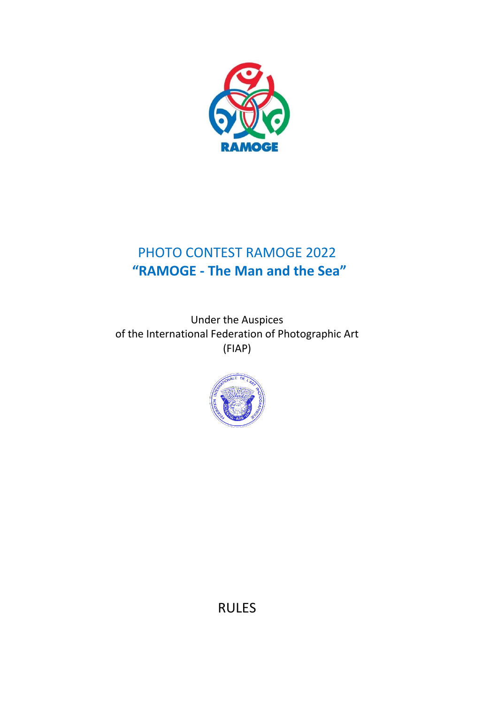

# PHOTO CONTEST RAMOGE 2022 **"RAMOGE - The Man and the Sea"**

Under the Auspices of the International Federation of Photographic Art (FIAP)



RULES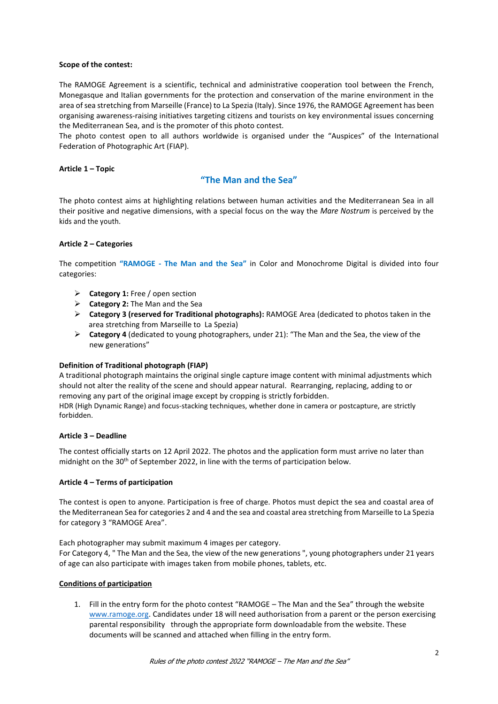#### **Scope of the contest:**

The RAMOGE Agreement is a scientific, technical and administrative cooperation tool between the French, Monegasque and Italian governments for the protection and conservation of the marine environment in the area of sea stretching from Marseille (France) to La Spezia (Italy). Since 1976, the RAMOGE Agreement has been organising awareness-raising initiatives targeting citizens and tourists on key environmental issues concerning the Mediterranean Sea, and is the promoter of this photo contest.

The photo contest open to all authors worldwide is organised under the "Auspices" of the International Federation of Photographic Art (FIAP).

#### **Article 1 – Topic**

### **"The Man and the Sea"**

The photo contest aims at highlighting relations between human activities and the Mediterranean Sea in all their positive and negative dimensions, with a special focus on the way the *Mare Nostrum* is perceived by the kids and the youth.

#### **Article 2 – Categories**

The competition **"RAMOGE - The Man and the Sea"** in Color and Monochrome Digital is divided into four categories:

- **Category 1:** Free / open section
- **Category 2:** The Man and the Sea
- **Category 3 (reserved for Traditional photographs):** RAMOGE Area (dedicated to photos taken in the area stretching from Marseille toLa Spezia)
- **Category 4** (dedicated to young photographers, under 21): "The Man and the Sea, the view of the new generations"

#### **Definition of Traditional photograph (FIAP)**

A traditional photograph maintains the original single capture image content with minimal adjustments which should not alter the reality of the scene and should appear natural. Rearranging, replacing, adding to or removing any part of the original image except by cropping is strictly forbidden.

HDR (High Dynamic Range) and focus-stacking techniques, whether done in camera or postcapture, are strictly forbidden.

#### **Article 3 – Deadline**

The contest officially starts on 12 April 2022. The photos and the application form must arrive no later than midnight on the 30<sup>th</sup> of September 2022, in line with the terms of participation below.

#### **Article 4 – Terms of participation**

The contest is open to anyone. Participation is free of charge. Photos must depict the sea and coastal area of the Mediterranean Sea for categories 2 and 4 and the sea and coastal area stretching from Marseille to La Spezia for category 3 "RAMOGE Area".

Each photographer may submit maximum 4 images per category.

For Category 4, " The Man and the Sea, the view of the new generations ", young photographers under 21 years of age can also participate with images taken from mobile phones, tablets, etc.

#### **Conditions of participation**

1. Fill in the entry form for the photo contest "RAMOGE – The Man and the Sea" through the website [www.ramoge.org.](http://www.ramoge.org/) Candidates under 18 will need authorisation from a parent or the person exercising parental responsibility through the appropriate form downloadable from the website. These documents will be scanned and attached when filling in the entry form.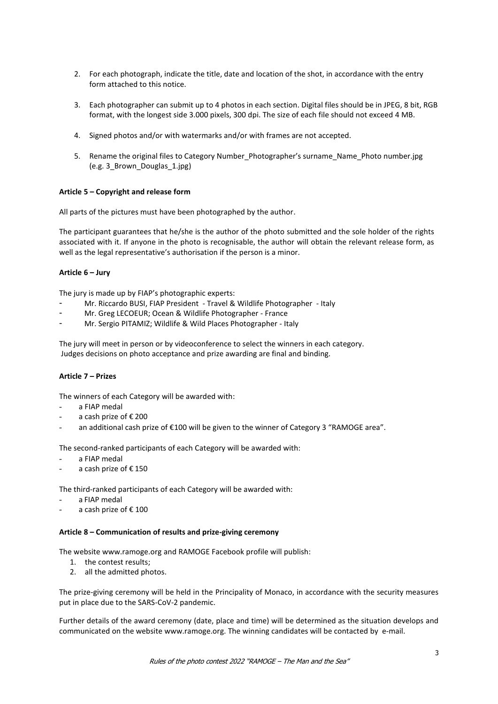- 2. For each photograph, indicate the title, date and location of the shot, in accordance with the entry form attached to this notice.
- 3. Each photographer can submit up to 4 photos in each section. Digital files should be in JPEG, 8 bit, RGB format, with the longest side 3.000 pixels, 300 dpi. The size of each file should not exceed 4 MB.
- 4. Signed photos and/or with watermarks and/or with frames are not accepted.
- 5. Rename the original files to Category Number\_Photographer's surname\_Name\_Photo number.jpg (e.g. 3\_Brown\_Douglas\_1.jpg)

#### **Article 5 – Copyright and release form**

All parts of the pictures must have been photographed by the author.

The participant guarantees that he/she is the author of the photo submitted and the sole holder of the rights associated with it. If anyone in the photo is recognisable, the author will obtain the relevant release form, as well as the legal representative's authorisation if the person is a minor.

#### **Article 6 – Jury**

The jury is made up by FIAP's photographic experts:

- Mr. Riccardo BUSI, FIAP President Travel & Wildlife Photographer Italy
- Mr. Greg LECOEUR; Ocean & Wildlife Photographer France
- Mr. Sergio PITAMIZ; Wildlife & Wild Places Photographer Italy

The jury will meet in person or by videoconference to select the winners in each category. Judges decisions on photo acceptance and prize awarding are final and binding.

#### **Article 7 – Prizes**

The winners of each Category will be awarded with:

- a FIAP medal
- a cash prize of € 200
- an additional cash prize of €100 will be given to the winner of Category 3 "RAMOGE area".

The second-ranked participants of each Category will be awarded with:

- a FIAP medal
- a cash prize of €150

The third-ranked participants of each Category will be awarded with:

- a FIAP medal
- a cash prize of € 100

#### **Article 8 – Communication of results and prize-giving ceremony**

The website [www.ramoge.org a](http://www.ramoge.org/)nd RAMOGE Facebook profile will publish:

- 1. the contest results;
- 2. all the admitted photos.

The prize-giving ceremony will be held in the Principality of Monaco, in accordance with the security measures put in place due to the SARS-CoV-2 pandemic.

Further details of the award ceremony (date, place and time) will be determined as the situation develops and communicated on the website [www.ramoge.org.](http://www.ramoge.org/) The winning candidates will be contacted by e-mail.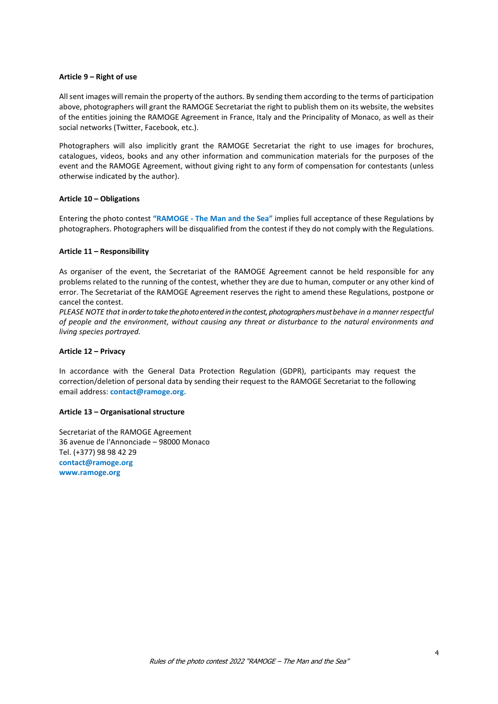#### **Article 9 – Right of use**

All sent images will remain the property of the authors. By sending them according to the terms of participation above, photographers will grant the RAMOGE Secretariat the right to publish them on its website, the websites of the entities joining the RAMOGE Agreement in France, Italy and the Principality of Monaco, as well as their social networks (Twitter, Facebook, etc.).

Photographers will also implicitly grant the RAMOGE Secretariat the right to use images for brochures, catalogues, videos, books and any other information and communication materials for the purposes of the event and the RAMOGE Agreement, without giving right to any form of compensation for contestants (unless otherwise indicated by the author).

#### **Article 10 – Obligations**

Entering the photo contest **"RAMOGE - The Man and the Sea"** implies full acceptance of these Regulations by photographers. Photographers will be disqualified from the contest if they do not comply with the Regulations.

#### **Article 11 – Responsibility**

As organiser of the event, the Secretariat of the RAMOGE Agreement cannot be held responsible for any problems related to the running of the contest, whether they are due to human, computer or any other kind of error. The Secretariat of the RAMOGE Agreement reserves the right to amend these Regulations, postpone or cancel the contest.

*PLEASE NOTE that in order to take the photo entered in the contest, photographers must behave in a manner respectful of people and the environment, without causing any threat or disturbance to the natural environments and living species portrayed.*

#### **Article 12 – Privacy**

In accordance with the General Data Protection Regulation (GDPR), participants may request the correction/deletion of personal data by sending their request to the RAMOGE Secretariat to the following email address: **[contact@ramoge.org.](mailto:contact@ramoge.org)**

#### **Article 13 – Organisational structure**

Secretariat of the RAMOGE Agreement 36 avenue de l'Annonciade – 98000 Monaco Tel. (+377) 98 98 42 29 **[contact@ramoge.org](mailto:contact@ramoge.org) [www.ramoge.org](http://www.ramoge.org/)**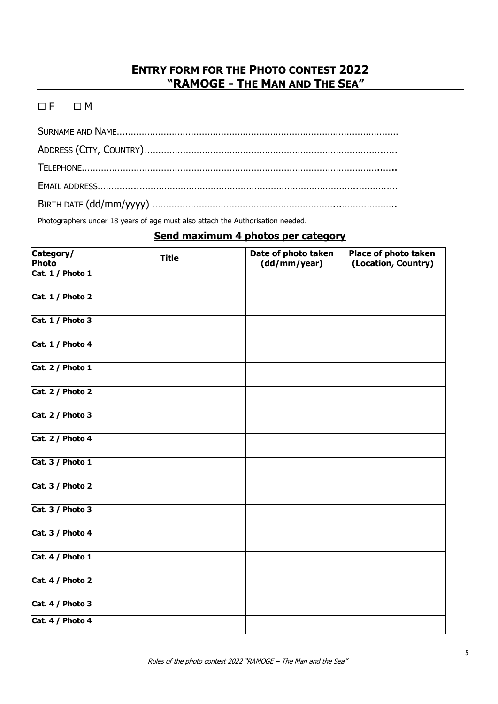# **ENTRY FORM FOR THE PHOTO CONTEST 2022 "RAMOGE - THE MAN AND THE SEA"**

### $\Box F$   $\Box M$

Photographers under 18 years of age must also attach the Authorisation needed.

# **Send maximum 4 photos per category**

| Category/<br>Photo | <b>Title</b> | Date of photo taken<br>(dd/mm/year) | Place of photo taken<br>(Location, Country) |
|--------------------|--------------|-------------------------------------|---------------------------------------------|
| Cat. 1 / Photo 1   |              |                                     |                                             |
| Cat. $1/$ Photo 2  |              |                                     |                                             |
| Cat. 1 / Photo 3   |              |                                     |                                             |
| Cat. 1 / Photo 4   |              |                                     |                                             |
| Cat. 2 / Photo 1   |              |                                     |                                             |
| Cat. 2 / Photo 2   |              |                                     |                                             |
| Cat. 2 / Photo 3   |              |                                     |                                             |
| Cat. 2 / Photo 4   |              |                                     |                                             |
| Cat. 3 / Photo 1   |              |                                     |                                             |
| Cat. 3 / Photo 2   |              |                                     |                                             |
| Cat. 3 / Photo 3   |              |                                     |                                             |
| Cat. 3 / Photo 4   |              |                                     |                                             |
| Cat. 4 / Photo 1   |              |                                     |                                             |
| Cat. 4 / Photo 2   |              |                                     |                                             |
| Cat. 4 / Photo 3   |              |                                     |                                             |
| Cat. 4 / Photo 4   |              |                                     |                                             |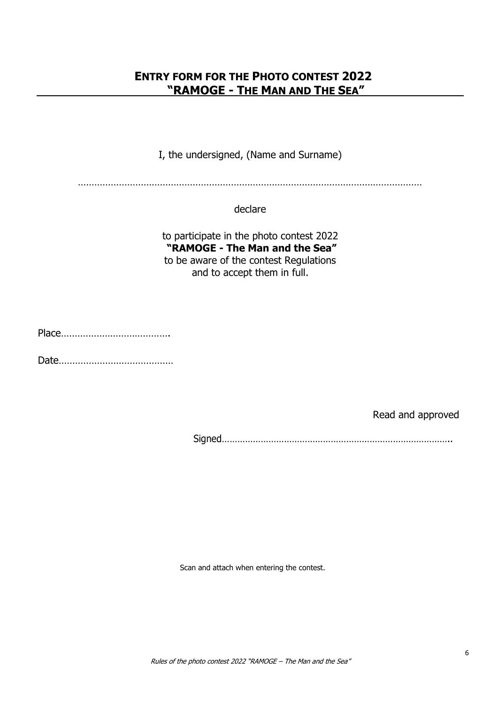# **ENTRY FORM FOR THE PHOTO CONTEST 2022 "RAMOGE - THE MAN AND THE SEA"**

I, the undersigned, (Name and Surname)

………………………………………………………………………………………………………………

declare

to participate in the photo contest 2022 **"RAMOGE - The Man and the Sea"** to be aware of the contest Regulations and to accept them in full.

Place………………………………….

Date……………………………………

Read and approved

Signed……………………………………………………………………………..

Scan and attach when entering the contest.